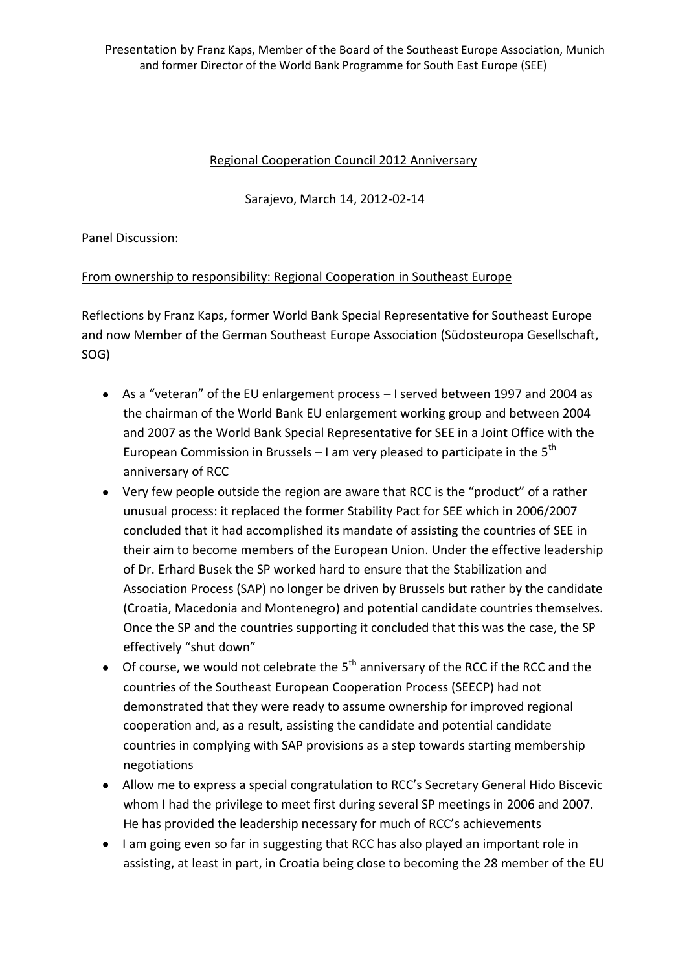Presentation by Franz Kaps, Member of the Board of the Southeast Europe Association, Munich and former Director of the World Bank Programme for South East Europe (SEE)

## Regional Cooperation Council 2012 Anniversary

Sarajevo, March 14, 2012-02-14

Panel Discussion:

## From ownership to responsibility: Regional Cooperation in Southeast Europe

Reflections by Franz Kaps, former World Bank Special Representative for Southeast Europe and now Member of the German Southeast Europe Association (Südosteuropa Gesellschaft, SOG)

- As a "veteran" of the EU enlargement process I served between 1997 and 2004 as the chairman of the World Bank EU enlargement working group and between 2004 and 2007 as the World Bank Special Representative for SEE in a Joint Office with the European Commission in Brussels  $-1$  am very pleased to participate in the 5<sup>th</sup> anniversary of RCC
- Very few people outside the region are aware that RCC is the "product" of a rather unusual process: it replaced the former Stability Pact for SEE which in 2006/2007 concluded that it had accomplished its mandate of assisting the countries of SEE in their aim to become members of the European Union. Under the effective leadership of Dr. Erhard Busek the SP worked hard to ensure that the Stabilization and Association Process (SAP) no longer be driven by Brussels but rather by the candidate (Croatia, Macedonia and Montenegro) and potential candidate countries themselves. Once the SP and the countries supporting it concluded that this was the case, the SP effectively "shut down"
- $\bullet$  Of course, we would not celebrate the 5<sup>th</sup> anniversary of the RCC if the RCC and the countries of the Southeast European Cooperation Process (SEECP) had not demonstrated that they were ready to assume ownership for improved regional cooperation and, as a result, assisting the candidate and potential candidate countries in complying with SAP provisions as a step towards starting membership negotiations
- Allow me to express a special congratulation to RCC's Secretary General Hido Biscevic whom I had the privilege to meet first during several SP meetings in 2006 and 2007. He has provided the leadership necessary for much of RCC's achievements
- I am going even so far in suggesting that RCC has also played an important role in assisting, at least in part, in Croatia being close to becoming the 28 member of the EU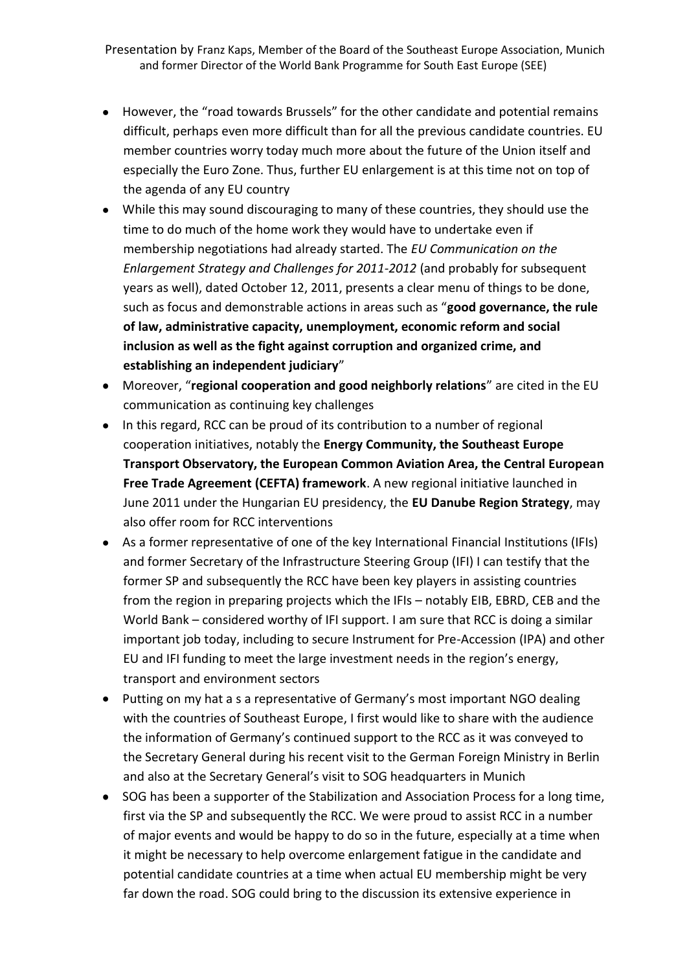Presentation by Franz Kaps, Member of the Board of the Southeast Europe Association, Munich and former Director of the World Bank Programme for South East Europe (SEE)

- However, the "road towards Brussels" for the other candidate and potential remains difficult, perhaps even more difficult than for all the previous candidate countries. EU member countries worry today much more about the future of the Union itself and especially the Euro Zone. Thus, further EU enlargement is at this time not on top of the agenda of any EU country
- While this may sound discouraging to many of these countries, they should use the time to do much of the home work they would have to undertake even if membership negotiations had already started. The *EU Communication on the Enlargement Strategy and Challenges for 2011-2012* (and probably for subsequent years as well), dated October 12, 2011, presents a clear menu of things to be done, such as focus and demonstrable actions in areas such as "**good governance, the rule of law, administrative capacity, unemployment, economic reform and social inclusion as well as the fight against corruption and organized crime, and establishing an independent judiciary**"
- Moreover, "**regional cooperation and good neighborly relations**" are cited in the EU communication as continuing key challenges
- In this regard, RCC can be proud of its contribution to a number of regional cooperation initiatives, notably the **Energy Community, the Southeast Europe Transport Observatory, the European Common Aviation Area, the Central European Free Trade Agreement (CEFTA) framework**. A new regional initiative launched in June 2011 under the Hungarian EU presidency, the **EU Danube Region Strategy**, may also offer room for RCC interventions
- As a former representative of one of the key International Financial Institutions (IFIs) and former Secretary of the Infrastructure Steering Group (IFI) I can testify that the former SP and subsequently the RCC have been key players in assisting countries from the region in preparing projects which the IFIs – notably EIB, EBRD, CEB and the World Bank – considered worthy of IFI support. I am sure that RCC is doing a similar important job today, including to secure Instrument for Pre-Accession (IPA) and other EU and IFI funding to meet the large investment needs in the region's energy, transport and environment sectors
- Putting on my hat a s a representative of Germany's most important NGO dealing with the countries of Southeast Europe, I first would like to share with the audience the information of Germany's continued support to the RCC as it was conveyed to the Secretary General during his recent visit to the German Foreign Ministry in Berlin and also at the Secretary General's visit to SOG headquarters in Munich
- SOG has been a supporter of the Stabilization and Association Process for a long time, first via the SP and subsequently the RCC. We were proud to assist RCC in a number of major events and would be happy to do so in the future, especially at a time when it might be necessary to help overcome enlargement fatigue in the candidate and potential candidate countries at a time when actual EU membership might be very far down the road. SOG could bring to the discussion its extensive experience in